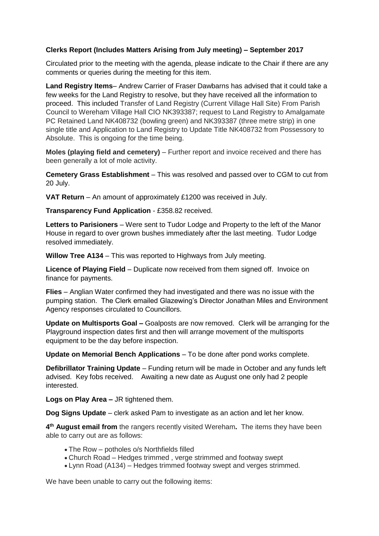## **Clerks Report (Includes Matters Arising from July meeting) – September 2017**

Circulated prior to the meeting with the agenda, please indicate to the Chair if there are any comments or queries during the meeting for this item.

**Land Registry Items**– Andrew Carrier of Fraser Dawbarns has advised that it could take a few weeks for the Land Registry to resolve, but they have received all the information to proceed. This included Transfer of Land Registry (Current Village Hall Site) From Parish Council to Wereham Village Hall CIO NK393387; request to Land Registry to Amalgamate PC Retained Land NK408732 (bowling green) and NK393387 (three metre strip) in one single title and Application to Land Registry to Update Title NK408732 from Possessory to Absolute. This is ongoing for the time being.

**Moles (playing field and cemetery)** – Further report and invoice received and there has been generally a lot of mole activity.

**Cemetery Grass Establishment** – This was resolved and passed over to CGM to cut from 20 July.

**VAT Return** – An amount of approximately £1200 was received in July.

**Transparency Fund Application** - £358.82 received.

**Letters to Parisioners** – Were sent to Tudor Lodge and Property to the left of the Manor House in regard to over grown bushes immediately after the last meeting. Tudor Lodge resolved immediately.

**Willow Tree A134** – This was reported to Highways from July meeting.

**Licence of Playing Field** – Duplicate now received from them signed off. Invoice on finance for payments.

**Flies** – Anglian Water confirmed they had investigated and there was no issue with the pumping station. The Clerk emailed Glazewing's Director Jonathan Miles and Environment Agency responses circulated to Councillors.

**Update on Multisports Goal –** Goalposts are now removed. Clerk will be arranging for the Playground inspection dates first and then will arrange movement of the multisports equipment to be the day before inspection.

**Update on Memorial Bench Applications** – To be done after pond works complete.

**Defibrillator Training Update** – Funding return will be made in October and any funds left advised. Key fobs received. Awaiting a new date as August one only had 2 people interested.

**Logs on Play Area –** JR tightened them.

**Dog Signs Update** – clerk asked Pam to investigate as an action and let her know.

**4 th August email from** the rangers recently visited Wereham**.** The items they have been able to carry out are as follows:

- The Row potholes o/s Northfields filled
- Church Road Hedges trimmed , verge strimmed and footway swept
- Lynn Road (A134) Hedges trimmed footway swept and verges strimmed.

We have been unable to carry out the following items: